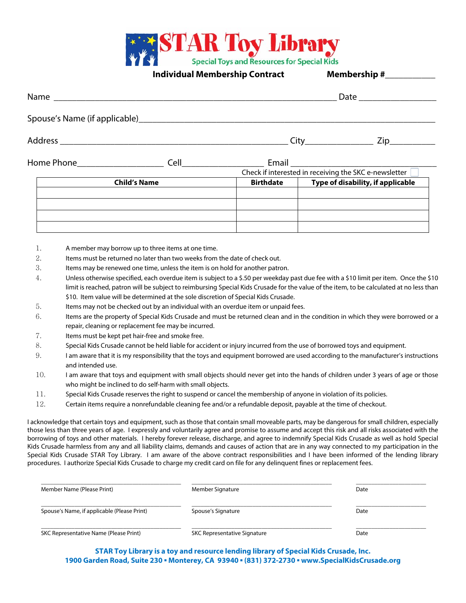

**Individual Membership Contract Membership #** 

|                     |  |                  |                                   | Check if interested in receiving the SKC e-newsletter |  |
|---------------------|--|------------------|-----------------------------------|-------------------------------------------------------|--|
| <b>Child's Name</b> |  | <b>Birthdate</b> | Type of disability, if applicable |                                                       |  |
|                     |  |                  |                                   |                                                       |  |
|                     |  |                  |                                   |                                                       |  |

- 1. A member may borrow up to three items at one time.
- 2. Items must be returned no later than two weeks from the date of check out.
- 3. Items may be renewed one time, unless the item is on hold for another patron.
- 4. Unless otherwise specified, each overdue item is subject to a \$.50 per weekday past due fee with a \$10 limit per item. Once the \$10 limit is reached, patron will be subject to reimbursing Special Kids Crusade for the value of the item, to be calculated at no less than \$10. Item value will be determined at the sole discretion of Special Kids Crusade.
- 5. Items may not be checked out by an individual with an overdue item or unpaid fees.
- 6. Items are the property of Special Kids Crusade and must be returned clean and in the condition in which they were borrowed or a repair, cleaning or replacement fee may be incurred.
- 7. Items must be kept pet hair-free and smoke free.
- 8. Special Kids Crusade cannot be held liable for accident or injury incurred from the use of borrowed toys and equipment.
- 9. I am aware that it is my responsibility that the toys and equipment borrowed are used according to the manufacturer's instructions and intended use.
- 10. I am aware that toys and equipment with small objects should never get into the hands of children under 3 years of age or those who might be inclined to do self-harm with small objects.
- 11. Special Kids Crusade reserves the right to suspend or cancel the membership of anyone in violation of its policies.
- 12. Certain items require a nonrefundable cleaning fee and/or a refundable deposit, payable at the time of checkout.

I acknowledge that certain toys and equipment, such as those that contain small moveable parts, may be dangerous for small children, especially those less than three years of age. I expressly and voluntarily agree and promise to assume and accept this risk and all risks associated with the borrowing of toys and other materials. I hereby forever release, discharge, and agree to indemnify Special Kids Crusade as well as hold Special Kids Crusade harmless from any and all liability claims, demands and causes of action that are in any way connected to my participation in the Special Kids Crusade STAR Toy Library. I am aware of the above contract responsibilities and I have been informed of the lending library procedures. I authorize Special Kids Crusade to charge my credit card on file for any delinquent fines or replacement fees.

| Member Name (Please Print)                  | Member Signature                    | Date |  |
|---------------------------------------------|-------------------------------------|------|--|
| Spouse's Name, if applicable (Please Print) | Spouse's Signature                  | Date |  |
| SKC Representative Name (Please Print)      | <b>SKC Representative Signature</b> | Date |  |

**STAR Toy Library is a toy and resource lending library of Special Kids Crusade, Inc. 1900 Garden Road, Suite 230 ▪ Monterey, CA 93940 ▪ (831) 372-2730 ▪ www.SpecialKidsCrusade.org**